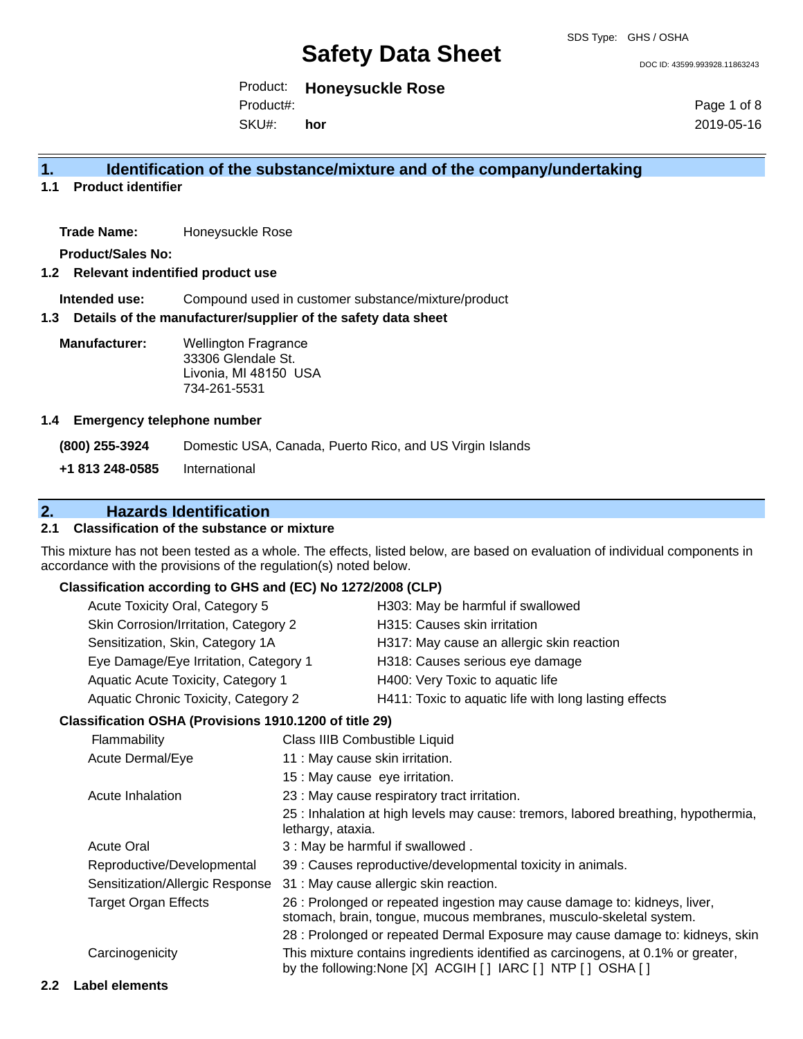DOC ID: 43599.993928.11863243

Product: **Honeysuckle Rose** Product#:

SKU#: **hor** Page 1 of 8 2019-05-16

## **1. Identification of the substance/mixture and of the company/undertaking**

**1.1 Product identifier**

Trade Name: Honeysuckle Rose

**Product/Sales No:**

### **1.2 Relevant indentified product use**

**Intended use:** Compound used in customer substance/mixture/product

## **1.3 Details of the manufacturer/supplier of the safety data sheet**

**Manufacturer:** Wellington Fragrance 33306 Glendale St. Livonia, MI 48150 USA 734-261-5531

### **1.4 Emergency telephone number**

**(800) 255-3924** Domestic USA, Canada, Puerto Rico, and US Virgin Islands **+1 813 248-0585** International

## **2. Hazards Identification**

## **2.1 Classification of the substance or mixture**

This mixture has not been tested as a whole. The effects, listed below, are based on evaluation of individual components in accordance with the provisions of the regulation(s) noted below.

## **Classification according to GHS and (EC) No 1272/2008 (CLP)**

| Acute Toxicity Oral, Category 5       | H303: May be harmful if swallowed                     |
|---------------------------------------|-------------------------------------------------------|
| Skin Corrosion/Irritation, Category 2 | H315: Causes skin irritation                          |
| Sensitization, Skin, Category 1A      | H317: May cause an allergic skin reaction             |
| Eye Damage/Eye Irritation, Category 1 | H318: Causes serious eye damage                       |
| Aquatic Acute Toxicity, Category 1    | H400: Very Toxic to aquatic life                      |
| Aquatic Chronic Toxicity, Category 2  | H411: Toxic to aquatic life with long lasting effects |

## **Classification OSHA (Provisions 1910.1200 of title 29)**

| Flammability                    | Class IIIB Combustible Liquid                                                                                                                   |
|---------------------------------|-------------------------------------------------------------------------------------------------------------------------------------------------|
| Acute Dermal/Eye                | 11 : May cause skin irritation.                                                                                                                 |
|                                 | 15 : May cause eye irritation.                                                                                                                  |
| Acute Inhalation                | 23 : May cause respiratory tract irritation.                                                                                                    |
|                                 | 25 : Inhalation at high levels may cause: tremors, labored breathing, hypothermia,<br>lethargy, ataxia.                                         |
| <b>Acute Oral</b>               | 3: May be harmful if swallowed.                                                                                                                 |
| Reproductive/Developmental      | 39 : Causes reproductive/developmental toxicity in animals.                                                                                     |
| Sensitization/Allergic Response | 31 : May cause allergic skin reaction.                                                                                                          |
| <b>Target Organ Effects</b>     | 26 : Prolonged or repeated ingestion may cause damage to: kidneys, liver,<br>stomach, brain, tongue, mucous membranes, musculo-skeletal system. |
|                                 | 28 : Prolonged or repeated Dermal Exposure may cause damage to: kidneys, skin                                                                   |
| Carcinogenicity                 | This mixture contains ingredients identified as carcinogens, at 0.1% or greater,<br>by the following: None [X] ACGIH [] IARC [] NTP [] OSHA []  |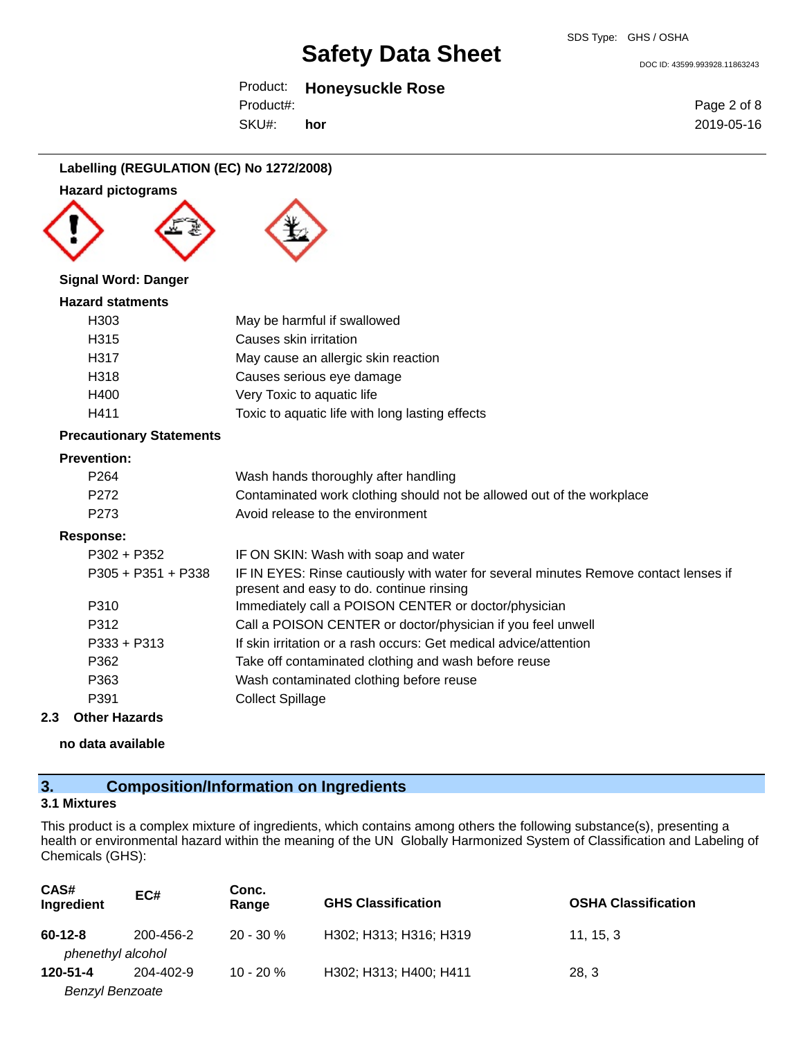Product: **Honeysuckle Rose**

Product#: **hor**

SKU#:

Page 2 of 8 2019-05-16

DOC ID: 43599.993928.11863243

## **Labelling (REGULATION (EC) No 1272/2008)**

## **Hazard pictograms**







## **Signal Word: Danger**

| <b>Hazard statments</b> |                                                 |
|-------------------------|-------------------------------------------------|
| H303                    | May be harmful if swallowed                     |
| H <sub>315</sub>        | Causes skin irritation                          |
| H317                    | May cause an allergic skin reaction             |
| H318                    | Causes serious eye damage                       |
| H400                    | Very Toxic to aquatic life                      |
| H411                    | Toxic to aquatic life with long lasting effects |
|                         |                                                 |

## **Precautionary Statements**

## **Prevention:**

| P264 | Wash hands thoroughly after handling                                  |
|------|-----------------------------------------------------------------------|
| P272 | Contaminated work clothing should not be allowed out of the workplace |
| P273 | Avoid release to the environment                                      |

## **Response:**

| $P302 + P352$      | IF ON SKIN: Wash with soap and water                                                                                             |
|--------------------|----------------------------------------------------------------------------------------------------------------------------------|
| P305 + P351 + P338 | IF IN EYES: Rinse cautiously with water for several minutes Remove contact lenses if<br>present and easy to do. continue rinsing |
| P310               | Immediately call a POISON CENTER or doctor/physician                                                                             |
| P312               | Call a POISON CENTER or doctor/physician if you feel unwell                                                                      |
| $P333 + P313$      | If skin irritation or a rash occurs: Get medical advice/attention                                                                |
| P362               | Take off contaminated clothing and wash before reuse                                                                             |
| P363               | Wash contaminated clothing before reuse                                                                                          |
| P391               | <b>Collect Spillage</b>                                                                                                          |

## **2.3 Other Hazards**

**no data available**

## **3. Composition/Information on Ingredients**

## **3.1 Mixtures**

This product is a complex mixture of ingredients, which contains among others the following substance(s), presenting a health or environmental hazard within the meaning of the UN Globally Harmonized System of Classification and Labeling of Chemicals (GHS):

| CAS#<br>Ingredient                 | EC#       | Conc.<br>Range | <b>GHS Classification</b> | <b>OSHA Classification</b> |
|------------------------------------|-----------|----------------|---------------------------|----------------------------|
| $60 - 12 - 8$<br>phenethyl alcohol | 200-456-2 | $20 - 30 \%$   | H302; H313; H316; H319    | 11, 15, 3                  |
| 120-51-4                           | 204-402-9 | $10 - 20%$     | H302; H313; H400; H411    | 28, 3                      |
| <b>Benzyl Benzoate</b>             |           |                |                           |                            |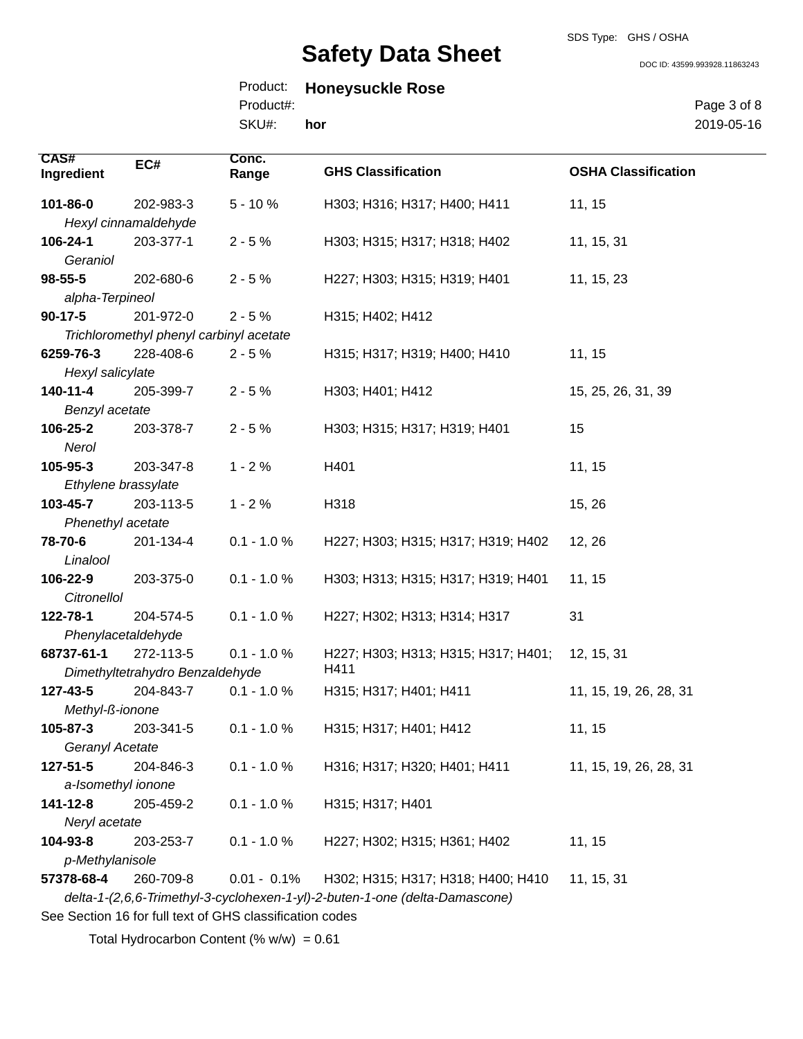SDS Type: GHS / OSHA

DOC ID: 43599.993928.11863243

|           | Product: Honeysuckle Rose |  |
|-----------|---------------------------|--|
| Product#: |                           |  |

SKU#: **hor** Page 3 of 8 2019-05-16

| <b>CAS#</b><br>Ingredient | EC#                                     | Conc.<br>Range | <b>GHS Classification</b>                                                   | <b>OSHA Classification</b> |
|---------------------------|-----------------------------------------|----------------|-----------------------------------------------------------------------------|----------------------------|
| 101-86-0                  | 202-983-3                               | $5 - 10%$      | H303; H316; H317; H400; H411                                                | 11, 15                     |
|                           | Hexyl cinnamaldehyde                    |                |                                                                             |                            |
| 106-24-1                  | 203-377-1                               | $2 - 5%$       | H303; H315; H317; H318; H402                                                | 11, 15, 31                 |
| Geraniol                  |                                         |                |                                                                             |                            |
| $98 - 55 - 5$             | 202-680-6                               | $2 - 5%$       | H227; H303; H315; H319; H401                                                | 11, 15, 23                 |
| alpha-Terpineol           |                                         |                |                                                                             |                            |
| $90-17-5$                 | 201-972-0                               | $2 - 5%$       | H315; H402; H412                                                            |                            |
|                           | Trichloromethyl phenyl carbinyl acetate |                |                                                                             |                            |
| 6259-76-3                 | 228-408-6                               | $2 - 5%$       | H315; H317; H319; H400; H410                                                | 11, 15                     |
| Hexyl salicylate          |                                         |                |                                                                             |                            |
| 140-11-4                  | 205-399-7                               | $2 - 5%$       | H303; H401; H412                                                            | 15, 25, 26, 31, 39         |
| Benzyl acetate            |                                         |                |                                                                             |                            |
| 106-25-2                  | 203-378-7                               | $2 - 5%$       | H303; H315; H317; H319; H401                                                | 15                         |
| Nerol                     |                                         |                |                                                                             |                            |
| 105-95-3                  | 203-347-8                               | $1 - 2%$       | H401                                                                        | 11, 15                     |
| Ethylene brassylate       |                                         |                |                                                                             |                            |
| 103-45-7                  | 203-113-5                               | $1 - 2%$       | H318                                                                        | 15, 26                     |
| Phenethyl acetate         |                                         |                |                                                                             |                            |
| 78-70-6                   | 201-134-4                               | $0.1 - 1.0 %$  | H227; H303; H315; H317; H319; H402                                          | 12, 26                     |
| Linalool                  |                                         |                |                                                                             |                            |
| 106-22-9                  | 203-375-0                               | $0.1 - 1.0 %$  | H303; H313; H315; H317; H319; H401                                          | 11, 15                     |
| Citronellol               |                                         |                |                                                                             |                            |
| 122-78-1                  | 204-574-5                               | $0.1 - 1.0 %$  | H227; H302; H313; H314; H317                                                | 31                         |
| Phenylacetaldehyde        |                                         |                |                                                                             |                            |
| 68737-61-1                | 272-113-5                               | $0.1 - 1.0 %$  | H227; H303; H313; H315; H317; H401;                                         | 12, 15, 31                 |
|                           | Dimethyltetrahydro Benzaldehyde         |                | H411                                                                        |                            |
| 127-43-5                  | 204-843-7                               | $0.1 - 1.0 %$  | H315; H317; H401; H411                                                      | 11, 15, 19, 26, 28, 31     |
| Methyl-ß-ionone           |                                         |                |                                                                             |                            |
| 105-87-3                  | 203-341-5                               | $0.1 - 1.0 %$  | H315; H317; H401; H412                                                      | 11, 15                     |
| Geranyl Acetate           |                                         |                |                                                                             |                            |
| 127-51-5                  | 204-846-3                               | $0.1 - 1.0 %$  | H316; H317; H320; H401; H411                                                | 11, 15, 19, 26, 28, 31     |
| a-Isomethyl ionone        |                                         |                |                                                                             |                            |
| 141-12-8                  | 205-459-2                               | $0.1 - 1.0 %$  | H315; H317; H401                                                            |                            |
| Neryl acetate             |                                         |                |                                                                             |                            |
| 104-93-8                  | 203-253-7                               | $0.1 - 1.0 %$  | H227; H302; H315; H361; H402                                                | 11, 15                     |
| p-Methylanisole           |                                         |                |                                                                             |                            |
| 57378-68-4                | 260-709-8                               | $0.01 - 0.1\%$ | H302; H315; H317; H318; H400; H410                                          | 11, 15, 31                 |
|                           |                                         |                | delta-1-(2,6,6-Trimethyl-3-cyclohexen-1-yl)-2-buten-1-one (delta-Damascone) |                            |

See Section 16 for full text of GHS classification codes

Total Hydrocarbon Content  $(\% w/w) = 0.61$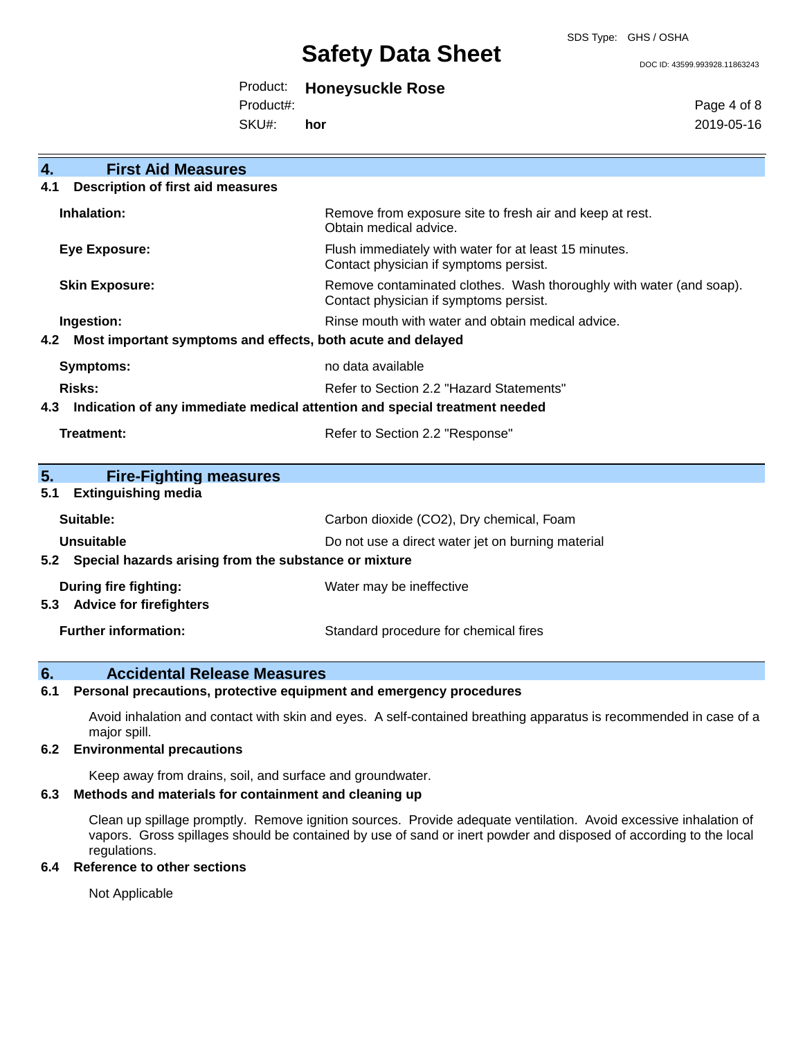SDS Type: GHS / OSHA

#### DOC ID: 43599.993928.11863243

| Product: | <b>Honeysuckle Rose</b> |  |
|----------|-------------------------|--|
|----------|-------------------------|--|

Product#:

SKU#: **hor** Page 4 of 8 2019-05-16

| <b>First Aid Measures</b><br>4.                                                   |                                                                                                               |
|-----------------------------------------------------------------------------------|---------------------------------------------------------------------------------------------------------------|
| <b>Description of first aid measures</b><br>4.1                                   |                                                                                                               |
| Inhalation:                                                                       | Remove from exposure site to fresh air and keep at rest.<br>Obtain medical advice.                            |
| <b>Eye Exposure:</b>                                                              | Flush immediately with water for at least 15 minutes.<br>Contact physician if symptoms persist.               |
| <b>Skin Exposure:</b>                                                             | Remove contaminated clothes. Wash thoroughly with water (and soap).<br>Contact physician if symptoms persist. |
| Ingestion:                                                                        | Rinse mouth with water and obtain medical advice.                                                             |
| Most important symptoms and effects, both acute and delayed<br>4.2                |                                                                                                               |
| <b>Symptoms:</b>                                                                  | no data available                                                                                             |
| Risks:                                                                            | Refer to Section 2.2 "Hazard Statements"                                                                      |
| Indication of any immediate medical attention and special treatment needed<br>4.3 |                                                                                                               |
| <b>Treatment:</b>                                                                 | Refer to Section 2.2 "Response"                                                                               |
|                                                                                   |                                                                                                               |
| 5.<br><b>Fire-Fighting measures</b>                                               |                                                                                                               |
| <b>Extinguishing media</b><br>5.1                                                 |                                                                                                               |
| Suitable:                                                                         | Carbon dioxide (CO2), Dry chemical, Foam                                                                      |
| Unsuitable                                                                        | Do not use a direct water jet on burning material                                                             |
| 5.2 Special hazards arising from the substance or mixture                         |                                                                                                               |
| During fire fighting:                                                             | Water may be ineffective                                                                                      |
| <b>Advice for firefighters</b><br>5.3                                             |                                                                                                               |
| <b>Further information:</b>                                                       | Standard procedure for chemical fires                                                                         |

## **6. Accidental Release Measures**

## **6.1 Personal precautions, protective equipment and emergency procedures**

Avoid inhalation and contact with skin and eyes. A self-contained breathing apparatus is recommended in case of a major spill.

### **6.2 Environmental precautions**

Keep away from drains, soil, and surface and groundwater.

## **6.3 Methods and materials for containment and cleaning up**

Clean up spillage promptly. Remove ignition sources. Provide adequate ventilation. Avoid excessive inhalation of vapors. Gross spillages should be contained by use of sand or inert powder and disposed of according to the local regulations.

## **6.4 Reference to other sections**

Not Applicable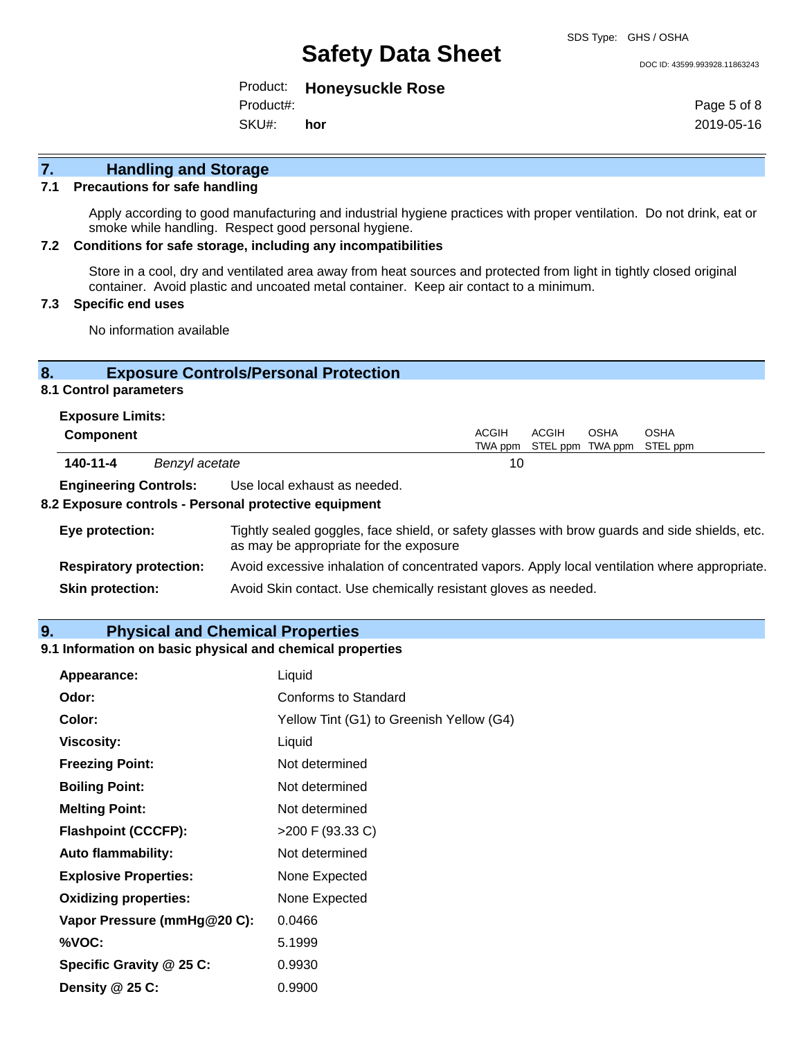#### DOC ID: 43599.993928.11863243

Product: **Honeysuckle Rose** Product#:

SKU#: **hor** Page 5 of 8 2019-05-16

## **7. Handling and Storage**

### **7.1 Precautions for safe handling**

Apply according to good manufacturing and industrial hygiene practices with proper ventilation. Do not drink, eat or smoke while handling. Respect good personal hygiene.

### **7.2 Conditions for safe storage, including any incompatibilities**

Store in a cool, dry and ventilated area away from heat sources and protected from light in tightly closed original container. Avoid plastic and uncoated metal container. Keep air contact to a minimum.

## **7.3 Specific end uses**

No information available

## **8. Exposure Controls/Personal Protection**

## **8.1 Control parameters**

|                  | <b>Exposure Limits:</b>      |       |                              |      |      |  |                                   |  |
|------------------|------------------------------|-------|------------------------------|------|------|--|-----------------------------------|--|
| <b>Component</b> |                              | ACGIH | ACGIH                        | OSHA | OSHA |  |                                   |  |
|                  |                              |       |                              |      |      |  | TWA ppm STEL ppm TWA ppm STEL ppm |  |
|                  | 140-11-4<br>Benzyl acetate   |       | 10                           |      |      |  |                                   |  |
|                  | <b>Engineering Controls:</b> |       | Use local exhaust as needed. |      |      |  |                                   |  |

## **8.2 Exposure controls - Personal protective equipment**

| Eye protection:                | Tightly sealed goggles, face shield, or safety glasses with brow guards and side shields, etc.<br>as may be appropriate for the exposure |
|--------------------------------|------------------------------------------------------------------------------------------------------------------------------------------|
| <b>Respiratory protection:</b> | Avoid excessive inhalation of concentrated vapors. Apply local ventilation where appropriate.                                            |
| <b>Skin protection:</b>        | Avoid Skin contact. Use chemically resistant gloves as needed.                                                                           |

## **9. Physical and Chemical Properties**

## **9.1 Information on basic physical and chemical properties**

| Appearance:                  | Liquid                                   |
|------------------------------|------------------------------------------|
| Odor:                        | Conforms to Standard                     |
| Color:                       | Yellow Tint (G1) to Greenish Yellow (G4) |
| <b>Viscosity:</b>            | Liquid                                   |
| <b>Freezing Point:</b>       | Not determined                           |
| <b>Boiling Point:</b>        | Not determined                           |
| <b>Melting Point:</b>        | Not determined                           |
| <b>Flashpoint (CCCFP):</b>   | >200 F (93.33 C)                         |
| <b>Auto flammability:</b>    | Not determined                           |
| <b>Explosive Properties:</b> | None Expected                            |
| <b>Oxidizing properties:</b> | None Expected                            |
| Vapor Pressure (mmHg@20 C):  | 0.0466                                   |
| %VOC:                        | 5.1999                                   |
| Specific Gravity @ 25 C:     | 0.9930                                   |
| Density $@25C$ :             | 0.9900                                   |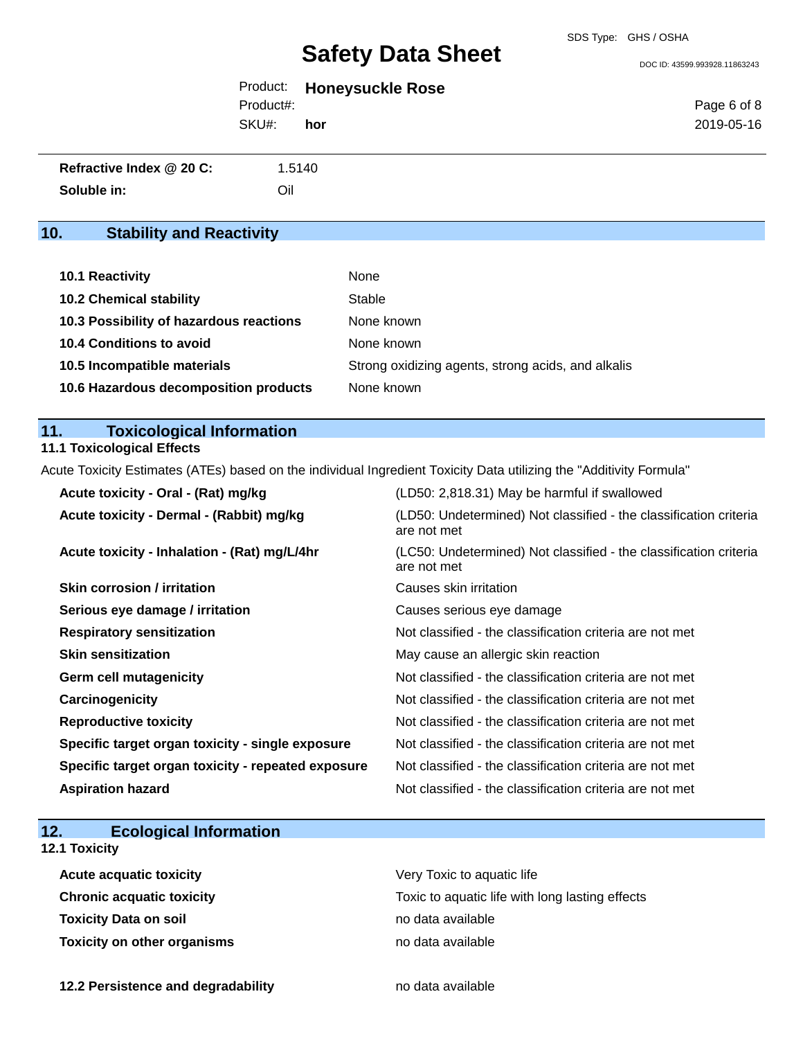### SDS Type: GHS / OSHA

# **Safety Data Sheet**

DOC ID: 43599.993928.11863243

|           | Product: Honeysuckle Rose |             |
|-----------|---------------------------|-------------|
| Product#: |                           | Page 6 of 8 |
| SKU#:     | hor                       | 2019-05-16  |
|           |                           |             |

| Refractive Index @ 20 C: | 1.5140 |
|--------------------------|--------|
| Soluble in:              | Oil    |

## **10. Stability and Reactivity**

| <b>10.1 Reactivity</b>                  | None                                               |
|-----------------------------------------|----------------------------------------------------|
| <b>10.2 Chemical stability</b>          | Stable                                             |
| 10.3 Possibility of hazardous reactions | None known                                         |
| 10.4 Conditions to avoid                | None known                                         |
| 10.5 Incompatible materials             | Strong oxidizing agents, strong acids, and alkalis |
| 10.6 Hazardous decomposition products   | None known                                         |

## **11. Toxicological Information**

## **11.1 Toxicological Effects**

Acute Toxicity Estimates (ATEs) based on the individual Ingredient Toxicity Data utilizing the "Additivity Formula"

| Acute toxicity - Oral - (Rat) mg/kg                | (LD50: 2,818.31) May be harmful if swallowed                                     |
|----------------------------------------------------|----------------------------------------------------------------------------------|
| Acute toxicity - Dermal - (Rabbit) mg/kg           | (LD50: Undetermined) Not classified - the classification criteria<br>are not met |
| Acute toxicity - Inhalation - (Rat) mg/L/4hr       | (LC50: Undetermined) Not classified - the classification criteria<br>are not met |
| <b>Skin corrosion / irritation</b>                 | Causes skin irritation                                                           |
| Serious eye damage / irritation                    | Causes serious eye damage                                                        |
| <b>Respiratory sensitization</b>                   | Not classified - the classification criteria are not met                         |
| <b>Skin sensitization</b>                          | May cause an allergic skin reaction                                              |
| Germ cell mutagenicity                             | Not classified - the classification criteria are not met                         |
| Carcinogenicity                                    | Not classified - the classification criteria are not met                         |
| <b>Reproductive toxicity</b>                       | Not classified - the classification criteria are not met                         |
| Specific target organ toxicity - single exposure   | Not classified - the classification criteria are not met                         |
| Specific target organ toxicity - repeated exposure | Not classified - the classification criteria are not met                         |
| <b>Aspiration hazard</b>                           | Not classified - the classification criteria are not met                         |

| 12. | <b>Ecological Information</b> |  |
|-----|-------------------------------|--|
|-----|-------------------------------|--|

## **12.1 Toxicity**

| <b>Acute acquatic toxicity</b>     | Very Toxic to aquatic life                      |
|------------------------------------|-------------------------------------------------|
| <b>Chronic acquatic toxicity</b>   | Toxic to aquatic life with long lasting effects |
| <b>Toxicity Data on soil</b>       | no data available                               |
| <b>Toxicity on other organisms</b> | no data available                               |

**12.2 Persistence and degradability no data available**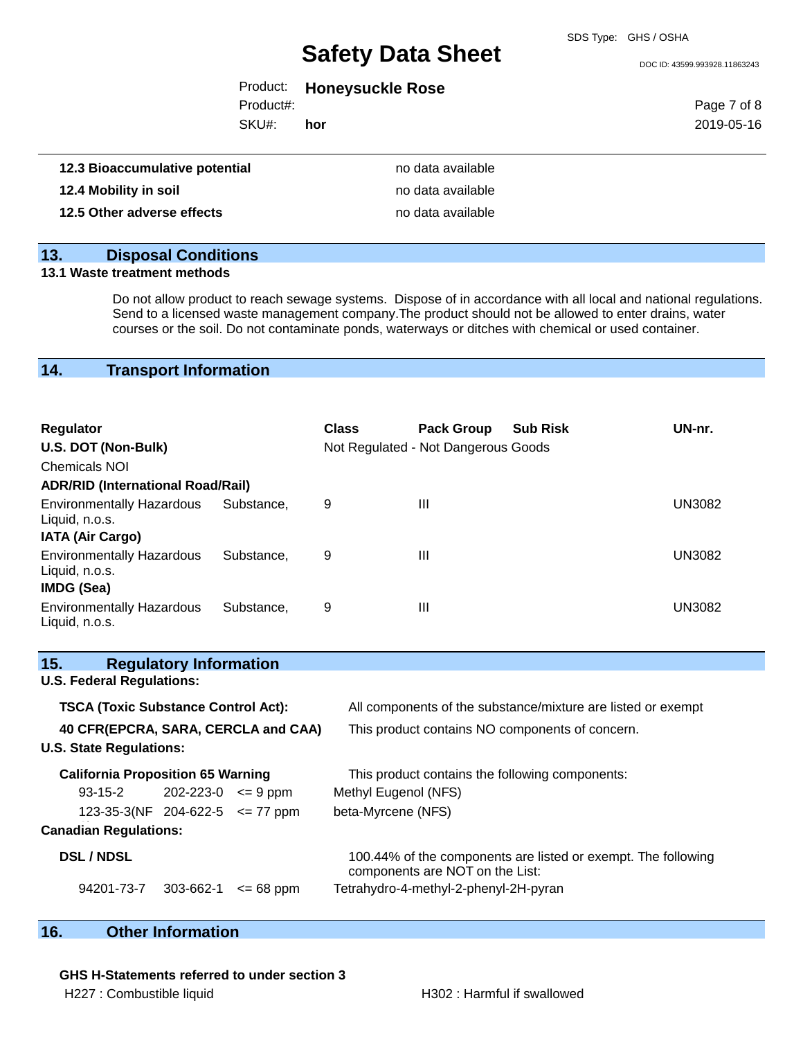SDS Type: GHS / OSHA

DOC ID: 43599.993928.11863243

| Product: | <b>Honeysuckle Rose</b> |  |
|----------|-------------------------|--|
|----------|-------------------------|--|

SKU#: Product#: **hor** Page 7 of 8 2019-05-16

| 12.3 Bioaccumulative potential | no data available |
|--------------------------------|-------------------|
| 12.4 Mobility in soil          | no data available |
| 12.5 Other adverse effects     | no data available |

## **13. Disposal Conditions**

## **13.1 Waste treatment methods**

Do not allow product to reach sewage systems. Dispose of in accordance with all local and national regulations. Send to a licensed waste management company.The product should not be allowed to enter drains, water courses or the soil. Do not contaminate ponds, waterways or ditches with chemical or used container.

## **14. Transport Information**

| Regulator<br>U.S. DOT (Non-Bulk)                                 |            | <b>Class</b> | <b>Pack Group</b><br>Not Regulated - Not Dangerous Goods | <b>Sub Risk</b> | UN-nr.        |
|------------------------------------------------------------------|------------|--------------|----------------------------------------------------------|-----------------|---------------|
| <b>Chemicals NOI</b>                                             |            |              |                                                          |                 |               |
| <b>ADR/RID (International Road/Rail)</b>                         |            |              |                                                          |                 |               |
| <b>Environmentally Hazardous</b><br>Liquid, n.o.s.               | Substance. | 9            | Ш                                                        |                 | <b>UN3082</b> |
| <b>IATA (Air Cargo)</b>                                          |            |              |                                                          |                 |               |
| <b>Environmentally Hazardous</b><br>Liquid, n.o.s.<br>IMDG (Sea) | Substance. | 9            | Ш                                                        |                 | <b>UN3082</b> |
| <b>Environmentally Hazardous</b><br>Liquid, n.o.s.               | Substance. | 9            | Ш                                                        |                 | <b>UN3082</b> |

| 15.<br><b>Regulatory Information</b>       |                                                                                                  |
|--------------------------------------------|--------------------------------------------------------------------------------------------------|
| <b>U.S. Federal Regulations:</b>           |                                                                                                  |
| <b>TSCA (Toxic Substance Control Act):</b> | All components of the substance/mixture are listed or exempt                                     |
| 40 CFR(EPCRA, SARA, CERCLA and CAA)        | This product contains NO components of concern.                                                  |
| <b>U.S. State Regulations:</b>             |                                                                                                  |
| <b>California Proposition 65 Warning</b>   | This product contains the following components:                                                  |
| $93-15-2$ 202-223-0 $\leq 9$ ppm           | Methyl Eugenol (NFS)                                                                             |
| 123-35-3(NF 204-622-5 $\le$ 77 ppm         | beta-Myrcene (NFS)                                                                               |
| <b>Canadian Regulations:</b>               |                                                                                                  |
| <b>DSL / NDSL</b>                          | 100.44% of the components are listed or exempt. The following<br>components are NOT on the List: |
| 94201-73-7<br>303-662-1<br>$\leq$ 68 ppm   | Tetrahydro-4-methyl-2-phenyl-2H-pyran                                                            |

## **16. Other Information**

**GHS H-Statements referred to under section 3**